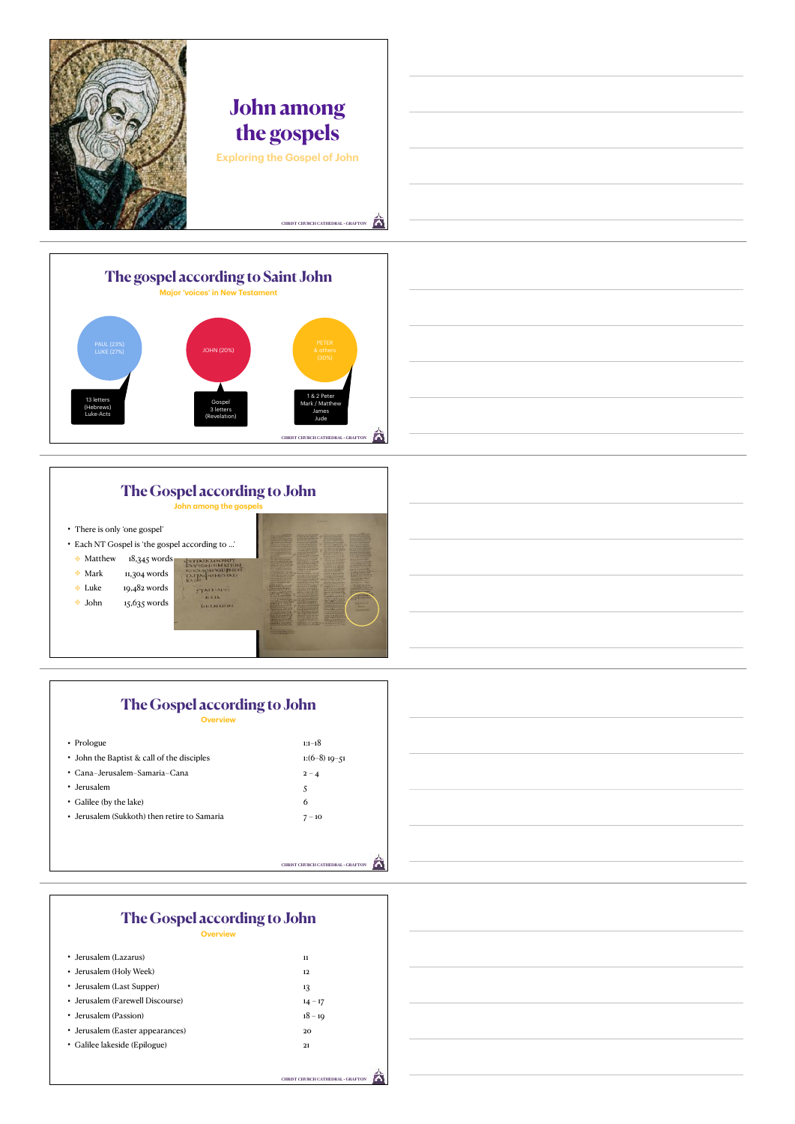

• Jerusalem (Holy Week) 12 • Jerusalem (Last Supper) 13 • Jerusalem (Farewell Discourse) 14 – 17 • Jerusalem (Passion) 18 – 19 • Jerusalem (Easter appearances) 20 • Galilee lakeside (Epilogue) 21

**CHRIST CHURCH CATHEDRAL • GRAFTON**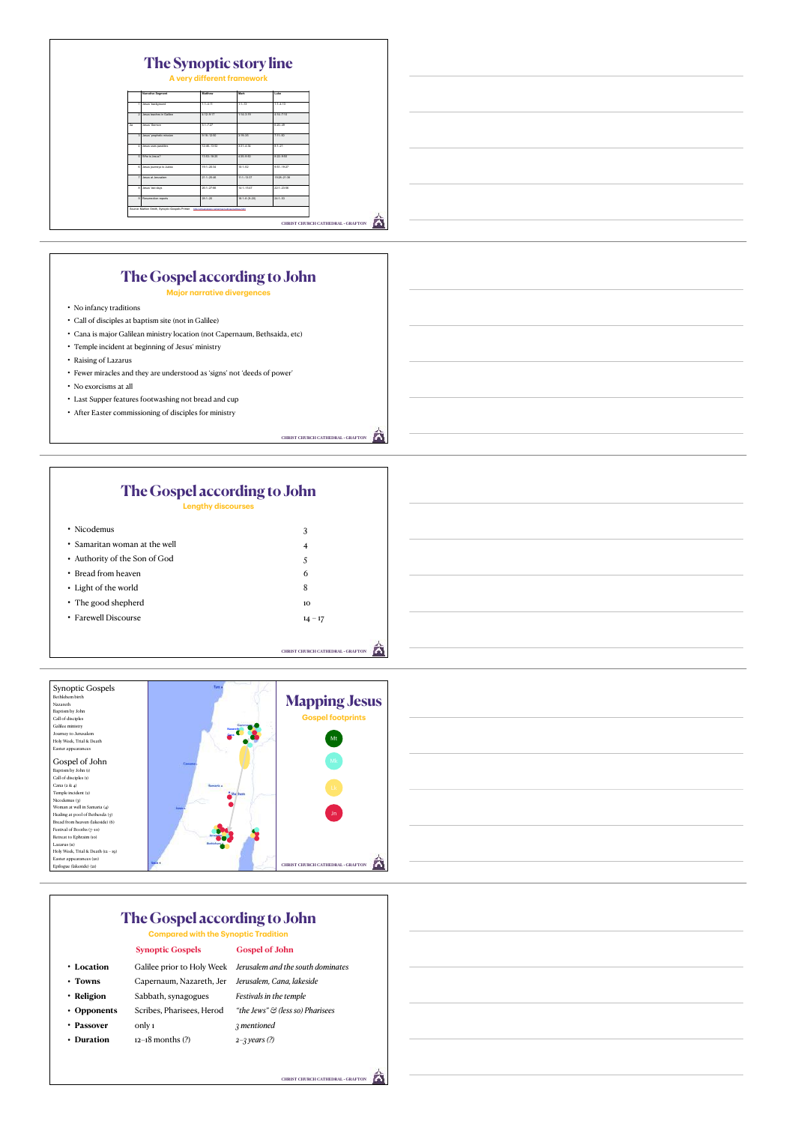



### **The Gospel according to John Compared with the Synoptic Tradition**

### **Synoptic Gospels Gospel of John**

| • Location    |                           | Galilee prior to Holy Week Jerusalem and the south dominates |
|---------------|---------------------------|--------------------------------------------------------------|
| • Towns       | Capernaum, Nazareth, Jer  | Jerusalem, Cana, lakeside                                    |
| · Religion    | Sabbath, synagogues       | Festivals in the temple                                      |
| • Opponents   | Scribes, Pharisees, Herod | "the Jews" & (less so) Pharisees                             |
| Passover<br>٠ | only 1                    | 3 mentioned                                                  |
| • Duration    | $12-18$ months $(?)$      | $2 - 3$ years (?)                                            |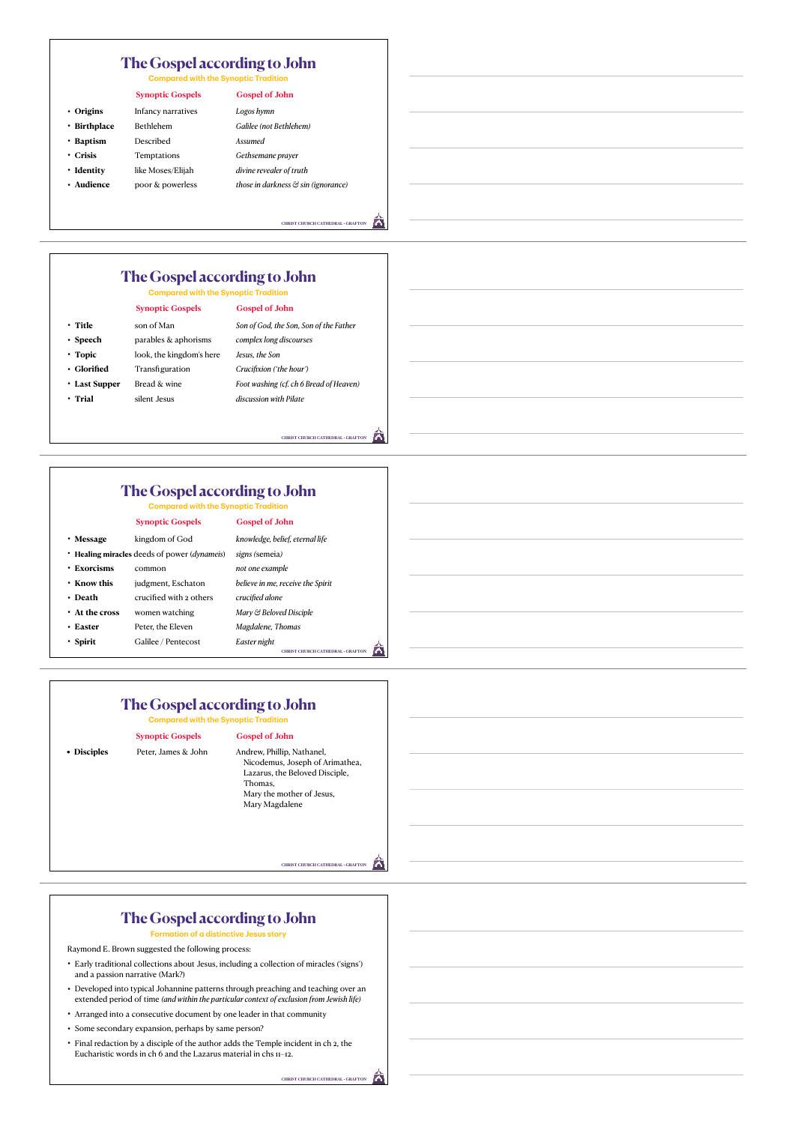### **The Gospel according to John**

**Compared with the Synoptic Tradition**

### **Synoptic Gospels Gospel of John**

• **Origins** Infancy narratives *Logos hymn*  • **Birthplace** Bethlehem *Galilee (not Bethlehem)* • **Baptism** Described *Assumed* • **Crisis** Temptations *Gethsemane prayer* • **Identity** like Moses/Elijah *divine revealer of truth*

- 
- **Audience poor & powerless** *those in darkness*  $\Im$  *sin (ignorance)*

â **CHRIST CHURCH CATHEDRAL • GRAFTON**

## **The Gospel according to John**

# **Compared with the Synoptic Tradition**

- **Title** son of Man *Son of God, the Son, Son of the Father*  • **Speech** parables & aphorisms *complex long discourses* • **Topic** look, the kingdom's here *Jesus, the Son*  • **Glorified** Transfiguration *Crucifixion ('the hour')* • **Last Supper** Bread & wine *Foot washing (cf. ch 6 Bread of Heaven)* • **Trial** silent Jesus *discussion with Pilate* **Synoptic Gospels Gospel of John** 
	-

â **CHRIST CHURCH CATHEDRAL • GRAFTON**

## **The Gospel according to John**

# **Compared with the Synoptic Tradition**

|                | <b>Synoptic Gospels</b>                               | <b>Gospel of John</b>                    |
|----------------|-------------------------------------------------------|------------------------------------------|
| • Message      | kingdom of God                                        | knowledge, belief, eternal life          |
|                | • Healing miracles deeds of power ( <i>dynameis</i> ) | signs (semeia)                           |
| • Exorcisms    | common                                                | not one example                          |
| • Know this    | judgment, Eschaton                                    | believe in me, receive the Spirit        |
| • Death        | crucified with 2 others                               | crucified alone                          |
| • At the cross | women watching                                        | Mary & Beloved Disciple                  |
| • Easter       | Peter, the Eleven                                     | Magdalene, Thomas                        |
| • Spirit       | Galilee / Pentecost                                   | Easter night                             |
|                |                                                       | <b>CHRIST CHURCH CATHEDRAL - GRAFTON</b> |

### **The Gospel according to John**

**Compared with the Synoptic Tradition**

### **Synoptic Gospels Gospel of John**

**• Disciples** Peter, James & John Andrew, Phillip, Nathanel, Nicodemus, Joseph of Arimathea, Lazarus, the Beloved Disciple, Thomas, Mary the mother of Jesus, Mary Magdalene

> â **CHRIST CHURCH CATHEDRAL • GRAFTON**

â

#### **The Gospel according to John Formation of a distinctive Jesus story**

Raymond E. Brown suggested the following process:

- Early traditional collections about Jesus, including a collection of miracles ('signs') and a passion narrative (Mark?)
- Developed into typical Johannine patterns through preaching and teaching over an extended period of time *(and within the particular context of exclusion from Jewish life)*
- Arranged into a consecutive document by one leader in that community
- Some secondary expansion, perhaps by same person?
- Final redaction by a disciple of the author adds the Temple incident in ch 2, the Eucharistic words in ch 6 and the Lazarus material in chs 11–12.

**CHRIST CHURCH CATHEDRAL • GRAFTON**